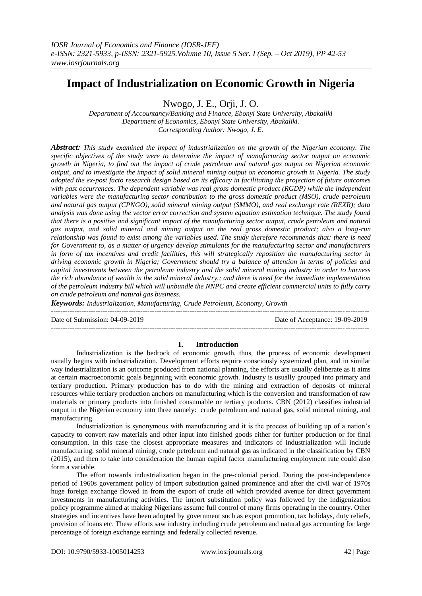# **Impact of Industrialization on Economic Growth in Nigeria**

Nwogo, J. E., Orji, J. O.

*Department of Accountancy/Banking and Finance, Ebonyi State University, Abakaliki Department of Economics, Ebonyi State University, Abakaliki. Corresponding Author: Nwogo, J. E.*

*Abstract: This study examined the impact of industrialization on the growth of the Nigerian economy. The specific objectives of the study were to determine the impact of manufacturing sector output on economic growth in Nigeria, to find out the impact of crude petroleum and natural gas output on Nigerian economic output, and to investigate the impact of solid mineral mining output on economic growth in Nigeria. The study adopted the ex-post facto research design based on its efficacy in facilitating the projection of future outcomes with past occurrences. The dependent variable was real gross domestic product (RGDP) while the independent variables were the manufacturing sector contribution to the gross domestic product (MSO), crude petroleum and natural gas output (CPNGO), solid mineral mining output (SMMO), and real exchange rate (REXR); data analysis was done using the vector error correction and system equation estimation technique. The study found that there is a positive and significant impact of the manufacturing sector output, crude petroleum and natural gas output, and solid mineral and mining output on the real gross domestic product; also a long-run relationship was found to exist among the variables used. The study therefore recommends that: there is need for Government to, as a matter of urgency develop stimulants for the manufacturing sector and manufacturers in form of tax incentives and credit facilities, this will strategically reposition the manufacturing sector in driving economic growth in Nigeria; Government should try a balance of attention in terms of policies and capital investments between the petroleum industry and the solid mineral mining industry in order to harness the rich abundance of wealth in the solid mineral industry.; and there is need for the immediate implementation of the petroleum industry bill which will unbundle the NNPC and create efficient commercial units to fully carry on crude petroleum and natural gas business.*

*Keywords: Industrialization, Manufacturing, Crude Petroleum, Economy, Growth*

 $-1.1$ 

Date of Submission: 04-09-2019 Date of Acceptance: 19-09-2019

---------------------------------------------------------------------------------------------------------------------------------------

### **I. Introduction**

Industrialization is the bedrock of economic growth, thus, the process of economic development usually begins with industrialization. Development efforts require consciously systemized plan, and in similar way industrialization is an outcome produced from national planning, the efforts are usually deliberate as it aims at certain macroeconomic goals beginning with economic growth. Industry is usually grouped into primary and tertiary production. Primary production has to do with the mining and extraction of deposits of mineral resources while tertiary production anchors on manufacturing which is the conversion and transformation of raw materials or primary products into finished consumable or tertiary products. CBN (2012) classifies industrial output in the Nigerian economy into three namely: crude petroleum and natural gas, solid mineral mining, and manufacturing.

Industrialization is synonymous with manufacturing and it is the process of building up of a nation"s capacity to convert raw materials and other input into finished goods either for further production or for final consumption. In this case the closest appropriate measures and indicators of industrialization will include manufacturing, solid mineral mining, crude petroleum and natural gas as indicated in the classification by CBN (2015), and then to take into consideration the human capital factor manufacturing employment rate could also form a variable.

The effort towards industrialization began in the pre-colonial period. During the post-independence period of 1960s government policy of import substitution gained prominence and after the civil war of 1970s huge foreign exchange flowed in from the export of crude oil which provided avenue for direct government investments in manufacturing activities. The import substitution policy was followed by the indigenization policy programme aimed at making Nigerians assume full control of many firms operating in the country. Other strategies and incentives have been adopted by government such as export promotion, tax holidays, duty reliefs, provision of loans etc. These efforts saw industry including crude petroleum and natural gas accounting for large percentage of foreign exchange earnings and federally collected revenue.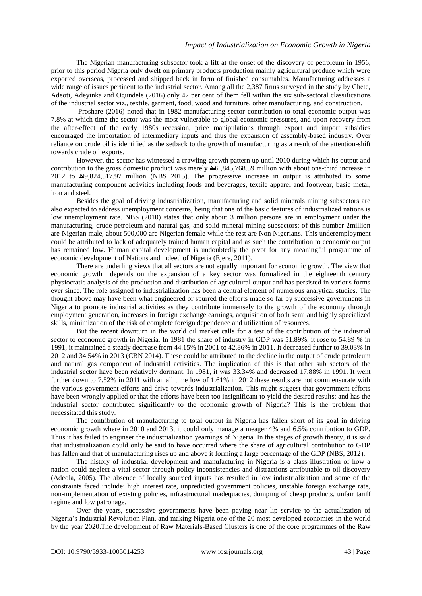The Nigerian manufacturing subsector took a lift at the onset of the discovery of petroleum in 1956, prior to this period Nigeria only dwelt on primary products production mainly agricultural produce which were exported overseas, processed and shipped back in form of finished consumables. Manufacturing addresses a wide range of issues pertinent to the industrial sector. Among all the 2,387 firms surveyed in the study by Chete, Adeoti, Adeyinka and Ogundele (2016) only 42 per cent of them fell within the six sub-sectoral classifications of the industrial sector viz., textile, garment, food, wood and furniture, other manufacturing, and construction.

Proshare (2016) noted that in 1982 manufacturing sector contribution to total economic output was 7.8% at which time the sector was the most vulnerable to global economic pressures, and upon recovery from the after-effect of the early 1980s recession, price manipulations through export and import subsidies encouraged the importation of intermediary inputs and thus the expansion of assembly-based industry. Over reliance on crude oil is identified as the setback to the growth of manufacturing as a result of the attention-shift towards crude oil exports.

However, the sector has witnessed a crawling growth pattern up until 2010 during which its output and contribution to the gross domestic product was merely N6 ,845,768.59 million with about one-third increase in 2012 to N9,824,517.97 million (NBS 2015). The progressive increase in output is attributed to some manufacturing component activities including foods and beverages, textile apparel and footwear, basic metal, iron and steel.

Besides the goal of driving industrialization, manufacturing and solid minerals mining subsectors are also expected to address unemployment concerns, being that one of the basic features of industrialized nations is low unemployment rate. NBS (2010) states that only about 3 million persons are in employment under the manufacturing, crude petroleum and natural gas, and solid mineral mining subsectors; of this number 2million are Nigerian male, about 500,000 are Nigerian female while the rest are Non Nigerians. This underemployment could be attributed to lack of adequately trained human capital and as such the contribution to economic output has remained low. Human capital development is undoubtedly the pivot for any meaningful programme of economic development of Nations and indeed of Nigeria (Ejere, 2011).

There are underling views that all sectors are not equally important for economic growth. The view that economic growth depends on the expansion of a key sector was formalized in the eighteenth century physiocratic analysis of the production and distribution of agricultural output and has persisted in various forms ever since. The role assigned to industrialization has been a central element of numerous analytical studies. The thought above may have been what engineered or spurred the efforts made so far by successive governments in Nigeria to promote industrial activities as they contribute immensely to the growth of the economy through employment generation, increases in foreign exchange earnings, acquisition of both semi and highly specialized skills, minimization of the risk of complete foreign dependence and utilization of resources.

But the recent downturn in the world oil market calls for a test of the contribution of the industrial sector to economic growth in Nigeria. In 1981 the share of industry in GDP was 51.89%, it rose to 54.89 % in 1991, it maintained a steady decrease from 44.15% in 2001 to 42.86% in 2011. It decreased further to 39.03% in 2012 and 34.54% in 2013 (CBN 2014). These could be attributed to the decline in the output of crude petroleum and natural gas component of industrial activities. The implication of this is that other sub sectors of the industrial sector have been relatively dormant. In 1981, it was 33.34% and decreased 17.88% in 1991. It went further down to 7.52% in 2011 with an all time low of 1.61% in 2012.these results are not commensurate with the various government efforts and drive towards industrialization. This might suggest that government efforts have been wrongly applied or that the efforts have been too insignificant to yield the desired results; and has the industrial sector contributed significantly to the economic growth of Nigeria? This is the problem that necessitated this study.

The contribution of manufacturing to total output in Nigeria has fallen short of its goal in driving economic growth where in 2010 and 2013, it could only manage a meager 4% and 6.5% contribution to GDP. Thus it has failed to engineer the industrialization yearnings of Nigeria. In the stages of growth theory, it is said that industrialization could only be said to have occurred where the share of agricultural contribution to GDP has fallen and that of manufacturing rises up and above it forming a large percentage of the GDP (NBS, 2012).

The history of industrial development and manufacturing in Nigeria is a class illustration of how a nation could neglect a vital sector through policy inconsistencies and distractions attributable to oil discovery (Adeola, 2005). The absence of locally sourced inputs has resulted in low industrialization and some of the constraints faced include: high interest rate, unpredicted government policies, unstable foreign exchange rate, non-implementation of existing policies, infrastructural inadequacies, dumping of cheap products, unfair tariff regime and low patronage.

Over the years, successive governments have been paying near lip service to the actualization of Nigeria"s Industrial Revolution Plan, and making Nigeria one of the 20 most developed economies in the world by the year 2020.The development of Raw Materials-Based Clusters is one of the core programmes of the Raw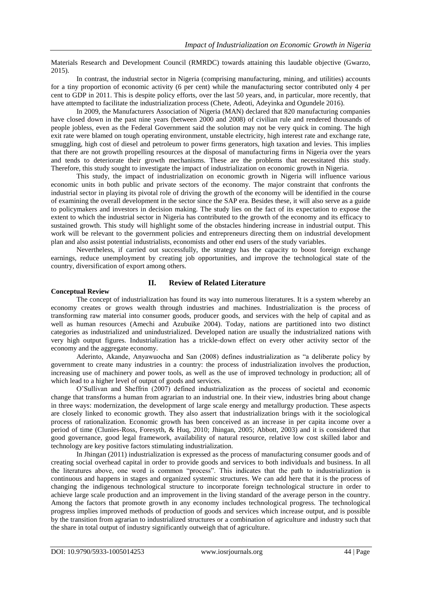Materials Research and Development Council (RMRDC) towards attaining this laudable objective (Gwarzo, 2015).

In contrast, the industrial sector in Nigeria (comprising manufacturing, mining, and utilities) accounts for a tiny proportion of economic activity (6 per cent) while the manufacturing sector contributed only 4 per cent to GDP in 2011. This is despite policy efforts, over the last 50 years, and, in particular, more recently, that have attempted to facilitate the industrialization process (Chete, Adeoti, Adeyinka and Ogundele 2016).

In 2009, the Manufacturers Association of Nigeria (MAN) declared that 820 manufacturing companies have closed down in the past nine years (between 2000 and 2008) of civilian rule and rendered thousands of people jobless, even as the Federal Government said the solution may not be very quick in coming. The high exit rate were blamed on tough operating environment, unstable electricity, high interest rate and exchange rate, smuggling, high cost of diesel and petroleum to power firms generators, high taxation and levies. This implies that there are not growth propelling resources at the disposal of manufacturing firms in Nigeria over the years and tends to deteriorate their growth mechanisms. These are the problems that necessitated this study. Therefore, this study sought to investigate the impact of industrialization on economic growth in Nigeria.

This study, the impact of industrialization on economic growth in Nigeria will influence various economic units in both public and private sectors of the economy. The major constraint that confronts the industrial sector in playing its pivotal role of driving the growth of the economy will be identified in the course of examining the overall development in the sector since the SAP era. Besides these, it will also serve as a guide to policymakers and investors in decision making. The study lies on the fact of its expectation to expose the extent to which the industrial sector in Nigeria has contributed to the growth of the economy and its efficacy to sustained growth. This study will highlight some of the obstacles hindering increase in industrial output. This work will be relevant to the government policies and entrepreneurs directing them on industrial development plan and also assist potential industrialists, economists and other end users of the study variables.

Nevertheless, if carried out successfully, the strategy has the capacity to boost foreign exchange earnings, reduce unemployment by creating job opportunities, and improve the technological state of the country, diversification of export among others.

## **II. Review of Related Literature**

### **Conceptual Review**

The concept of industrialization has found its way into numerous literatures. It is a system whereby an economy creates or grows wealth through industries and machines. Industrialization is the process of transforming raw material into consumer goods, producer goods, and services with the help of capital and as well as human resources (Amechi and Azubuike 2004). Today, nations are partitioned into two distinct categories as industrialized and unindustrialized. Developed nation are usually the industrialized nations with very high output figures. Industrialization has a trickle-down effect on every other activity sector of the economy and the aggregate economy.

Aderinto, Akande, Anyawuocha and San (2008) defines industrialization as "a deliberate policy by government to create many industries in a country: the process of industrialization involves the production, increasing use of machinery and power tools, as well as the use of improved technology in production; all of which lead to a higher level of output of goods and services.

O"Sullivan and Sheffrin (2007) defined industrialization as the process of societal and economic change that transforms a human from agrarian to an industrial one. In their view, industries bring about change in three ways: modernization, the development of large scale energy and metallurgy production. These aspects are closely linked to economic growth. They also assert that industrialization brings with it the sociological process of rationalization. Economic growth has been conceived as an increase in per capita income over a period of time (Clunies-Ross, Foresyth, & Huq, 2010; Jhingan, 2005; Abbott, 2003) and it is considered that good governance, good legal framework, availability of natural resource, relative low cost skilled labor and technology are key positive factors stimulating industrialization.

In Jhingan (2011) industrialization is expressed as the process of manufacturing consumer goods and of creating social overhead capital in order to provide goods and services to both individuals and business. In all the literatures above, one word is common "process". This indicates that the path to industrialization is continuous and happens in stages and organized systemic structures. We can add here that it is the process of changing the indigenous technological structure to incorporate foreign technological structure in order to achieve large scale production and an improvement in the living standard of the average person in the country. Among the factors that promote growth in any economy includes technological progress. The technological progress implies improved methods of production of goods and services which increase output, and is possible by the transition from agrarian to industrialized structures or a combination of agriculture and industry such that the share in total output of industry significantly outweigh that of agriculture.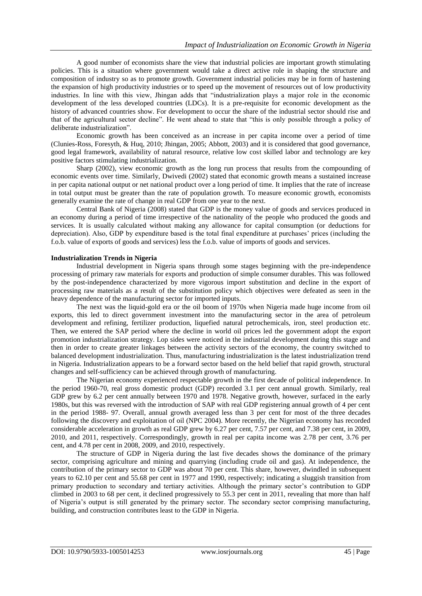A good number of economists share the view that industrial policies are important growth stimulating policies. This is a situation where government would take a direct active role in shaping the structure and composition of industry so as to promote growth. Government industrial policies may be in form of hastening the expansion of high productivity industries or to speed up the movement of resources out of low productivity industries. In line with this view, Jhingan adds that "industrialization plays a major role in the economic development of the less developed countries (LDCs). It is a pre-requisite for economic development as the history of advanced countries show. For development to occur the share of the industrial sector should rise and that of the agricultural sector decline". He went ahead to state that "this is only possible through a policy of deliberate industrialization".

Economic growth has been conceived as an increase in per capita income over a period of time (Clunies-Ross, Foresyth, & Huq, 2010; Jhingan, 2005; Abbott, 2003) and it is considered that good governance, good legal framework, availability of natural resource, relative low cost skilled labor and technology are key positive factors stimulating industrialization.

Sharp (2002), view economic growth as the long run process that results from the compounding of economic events over time. Similarly, Dwivedi (2002) stated that economic growth means a sustained increase in per capita national output or net national product over a long period of time. It implies that the rate of increase in total output must be greater than the rate of population growth. To measure economic growth, economists generally examine the rate of change in real GDP from one year to the next.

Central Bank of Nigeria (2008) stated that GDP is the money value of goods and services produced in an economy during a period of time irrespective of the nationality of the people who produced the goods and services. It is usually calculated without making any allowance for capital consumption (or deductions for depreciation). Also, GDP by expenditure based is the total final expenditure at purchases' prices (including the f.o.b. value of exports of goods and services) less the f.o.b. value of imports of goods and services.

#### **Industrialization Trends in Nigeria**

Industrial development in Nigeria spans through some stages beginning with the pre-independence processing of primary raw materials for exports and production of simple consumer durables. This was followed by the post-independence characterized by more vigorous import substitution and decline in the export of processing raw materials as a result of the substitution policy which objectives were defeated as seen in the heavy dependence of the manufacturing sector for imported inputs.

The next was the liquid-gold era or the oil boom of 1970s when Nigeria made huge income from oil exports, this led to direct government investment into the manufacturing sector in the area of petroleum development and refining, fertilizer production, liquefied natural petrochemicals, iron, steel production etc. Then, we entered the SAP period where the decline in world oil prices led the government adopt the export promotion industrialization strategy. Lop sides were noticed in the industrial development during this stage and then in order to create greater linkages between the activity sectors of the economy, the country switched to balanced development industrialization. Thus, manufacturing industrialization is the latest industrialization trend in Nigeria. Industrialization appears to be a forward sector based on the held belief that rapid growth, structural changes and self-sufficiency can be achieved through growth of manufacturing.

The Nigerian economy experienced respectable growth in the first decade of political independence. In the period 1960-70, real gross domestic product (GDP) recorded 3.1 per cent annual growth. Similarly, real GDP grew by 6.2 per cent annually between 1970 and 1978. Negative growth, however, surfaced in the early 1980s, but this was reversed with the introduction of SAP with real GDP registering annual growth of 4 per cent in the period 1988- 97. Overall, annual growth averaged less than 3 per cent for most of the three decades following the discovery and exploitation of oil (NPC 2004). More recently, the Nigerian economy has recorded considerable acceleration in growth as real GDP grew by 6.27 per cent, 7.57 per cent, and 7.38 per cent, in 2009, 2010, and 2011, respectively. Correspondingly, growth in real per capita income was 2.78 per cent, 3.76 per cent, and 4.78 per cent in 2008, 2009, and 2010, respectively.

The structure of GDP in Nigeria during the last five decades shows the dominance of the primary sector, comprising agriculture and mining and quarrying (including crude oil and gas). At independence, the contribution of the primary sector to GDP was about 70 per cent. This share, however, dwindled in subsequent years to 62.10 per cent and 55.68 per cent in 1977 and 1990, respectively; indicating a sluggish transition from primary production to secondary and tertiary activities. Although the primary sector's contribution to GDP climbed in 2003 to 68 per cent, it declined progressively to 55.3 per cent in 2011, revealing that more than half of Nigeria"s output is still generated by the primary sector. The secondary sector comprising manufacturing, building, and construction contributes least to the GDP in Nigeria.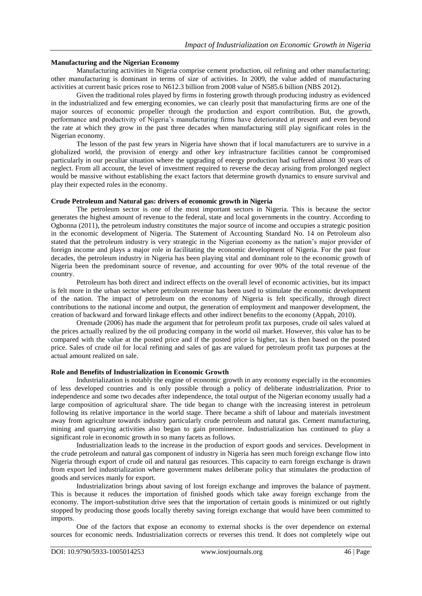### **Manufacturing and the Nigerian Economy**

Manufacturing activities in Nigeria comprise cement production, oil refining and other manufacturing; other manufacturing is dominant in terms of size of activities. In 2009, the value added of manufacturing activities at current basic prices rose to N612.3 billion from 2008 value of N585.6 billion (NBS 2012).

Given the traditional roles played by firms in fostering growth through producing industry as evidenced in the industrialized and few emerging economies, we can clearly posit that manufacturing firms are one of the major sources of economic propeller through the production and export contribution. But, the growth, performance and productivity of Nigeria"s manufacturing firms have deteriorated at present and even beyond the rate at which they grow in the past three decades when manufacturing still play significant roles in the Nigerian economy.

The lesson of the past few years in Nigeria have shown that if local manufacturers are to survive in a globalized world, the provision of energy and other key infrastructure facilities cannot be compromised particularly in our peculiar situation where the upgrading of energy production had suffered almost 30 years of neglect. From all account, the level of investment required to reverse the decay arising from prolonged neglect would be massive without establishing the exact factors that determine growth dynamics to ensure survival and play their expected roles in the economy.

### **Crude Petroleum and Natural gas: drivers of economic growth in Nigeria**

The petroleum sector is one of the most important sectors in Nigeria. This is because the sector generates the highest amount of revenue to the federal, state and local governments in the country. According to Ogbonna (2011), the petroleum industry constitutes the major source of income and occupies a strategic position in the economic development of Nigeria. The Statement of Accounting Standard No. 14 on Petroleum also stated that the petroleum industry is very strategic in the Nigerian economy as the nation"s major provider of foreign income and plays a major role in facilitating the economic development of Nigeria. For the past four decades, the petroleum industry in Nigeria has been playing vital and dominant role to the economic growth of Nigeria been the predominant source of revenue, and accounting for over 90% of the total revenue of the country.

Petroleum has both direct and indirect effects on the overall level of economic activities, but its impact is felt more in the urban sector where petroleum revenue has been used to stimulate the economic development of the nation. The impact of petroleum on the economy of Nigeria is felt specifically, through direct contributions to the national income and output, the generation of employment and manpower development, the creation of backward and forward linkage effects and other indirect benefits to the economy (Appah, 2010).

Oremade (2006) has made the argument that for petroleum profit tax purposes, crude oil sales valued at the prices actually realized by the oil producing company in the world oil market. However, this value has to be compared with the value at the posted price and if the posted price is higher, tax is then based on the posted price. Sales of crude oil for local refining and sales of gas are valued for petroleum profit tax purposes at the actual amount realized on sale.

### **Role and Benefits of Industrialization in Economic Growth**

Industrialization is notably the engine of economic growth in any economy especially in the economies of less developed countries and is only possible through a policy of deliberate industrialization. Prior to independence and some two decades after independence, the total output of the Nigerian economy usually had a large composition of agricultural share. The tide began to change with the increasing interest in petroleum following its relative importance in the world stage. There became a shift of labour and materials investment away from agriculture towards industry particularly crude petroleum and natural gas. Cement manufacturing, mining and quarrying activities also began to gain prominence. Industrialization has continued to play a significant role in economic growth in so many facets as follows.

Industrialization leads to the increase in the production of export goods and services. Development in the crude petroleum and natural gas component of industry in Nigeria has seen much foreign exchange flow into Nigeria through export of crude oil and natural gas resources. This capacity to earn foreign exchange is drawn from export led industrialization where government makes deliberate policy that stimulates the production of goods and services manly for export.

Industrialization brings about saving of lost foreign exchange and improves the balance of payment. This is because it reduces the importation of finished goods which take away foreign exchange from the economy. The import-substitution drive sees that the importation of certain goods is minimized or out rightly stopped by producing those goods locally thereby saving foreign exchange that would have been committed to imports.

One of the factors that expose an economy to external shocks is the over dependence on external sources for economic needs. Industrialization corrects or reverses this trend. It does not completely wipe out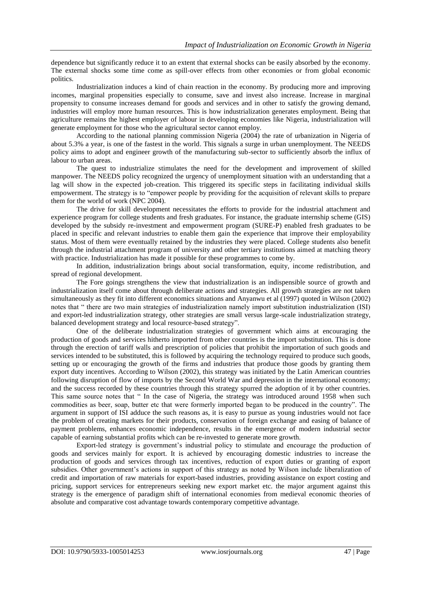dependence but significantly reduce it to an extent that external shocks can be easily absorbed by the economy. The external shocks some time come as spill-over effects from other economies or from global economic politics.

Industrialization induces a kind of chain reaction in the economy. By producing more and improving incomes, marginal propensities especially to consume, save and invest also increase. Increase in marginal propensity to consume increases demand for goods and services and in other to satisfy the growing demand, industries will employ more human resources. This is how industrialization generates employment. Being that agriculture remains the highest employer of labour in developing economies like Nigeria, industrialization will generate employment for those who the agricultural sector cannot employ.

According to the national planning commission Nigeria (2004) the rate of urbanization in Nigeria of about 5.3% a year, is one of the fastest in the world. This signals a surge in urban unemployment. The NEEDS policy aims to adopt and engineer growth of the manufacturing sub-sector to sufficiently absorb the influx of labour to urban areas.

The quest to industrialize stimulates the need for the development and improvement of skilled manpower. The NEEDS policy recognized the urgency of unemployment situation with an understanding that a lag will show in the expected job-creation. This triggered its specific steps in facilitating individual skills empowerment. The strategy is to "empower people by providing for the acquisition of relevant skills to prepare them for the world of work (NPC 2004).

The drive for skill development necessitates the efforts to provide for the industrial attachment and experience program for college students and fresh graduates. For instance, the graduate internship scheme (GIS) developed by the subsidy re-investment and empowerment program (SURE-P) enabled fresh graduates to be placed in specific and relevant industries to enable them gain the experience that improve their employability status. Most of them were eventually retained by the industries they were placed. College students also benefit through the industrial attachment program of university and other tertiary institutions aimed at matching theory with practice. Industrialization has made it possible for these programmes to come by.

In addition, industrialization brings about social transformation, equity, income redistribution, and spread of regional development.

The Fore goings strengthens the view that industrialization is an indispensible source of growth and industrialization itself come about through deliberate actions and strategies. All growth strategies are not taken simultaneously as they fit into different economics situations and Anyanwu et al (1997) quoted in Wilson (2002) notes that " there are two main strategies of industrialization namely import substitution industrialization (ISI) and export-led industrialization strategy, other strategies are small versus large-scale industrialization strategy, balanced development strategy and local resource-based strategy".

One of the deliberate industrialization strategies of government which aims at encouraging the production of goods and services hitherto imported from other countries is the import substitution. This is done through the erection of tariff walls and prescription of policies that prohibit the importation of such goods and services intended to be substituted, this is followed by acquiring the technology required to produce such goods, setting up or encouraging the growth of the firms and industries that produce those goods by granting them export duty incentives. According to Wilson (2002), this strategy was initiated by the Latin American countries following disruption of flow of imports by the Second World War and depression in the international economy; and the success recorded by these countries through this strategy spurred the adoption of it by other countries. This same source notes that " In the case of Nigeria, the strategy was introduced around 1958 when such commodities as beer, soap, butter etc that were formerly imported began to be produced in the country". The argument in support of ISI adduce the such reasons as, it is easy to pursue as young industries would not face the problem of creating markets for their products, conservation of foreign exchange and easing of balance of payment problems, enhances economic independence, results in the emergence of modern industrial sector capable of earning substantial profits which can be re-invested to generate more growth.

Export-led strategy is government"s industrial policy to stimulate and encourage the production of goods and services mainly for export. It is achieved by encouraging domestic industries to increase the production of goods and services through tax incentives, reduction of export duties or granting of export subsidies. Other government's actions in support of this strategy as noted by Wilson include liberalization of credit and importation of raw materials for export-based industries, providing assistance on export costing and pricing, support services for entrepreneurs seeking new export market etc. the major argument against this strategy is the emergence of paradigm shift of international economies from medieval economic theories of absolute and comparative cost advantage towards contemporary competitive advantage.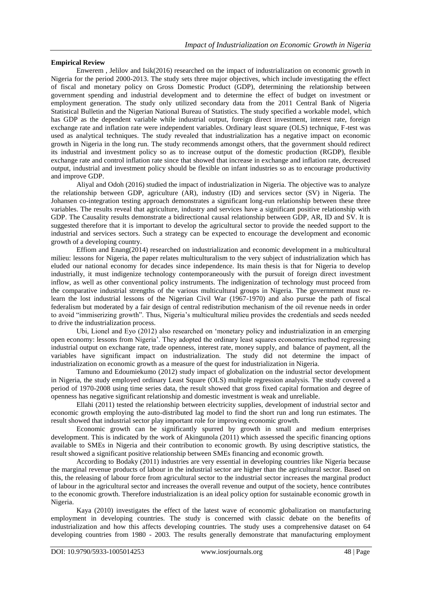### **Empirical Review**

Enwerem , Jelilov and Isik(2016) researched on the impact of industrialization on economic growth in Nigeria for the period 2000-2013. The study sets three major objectives, which include investigating the effect of fiscal and monetary policy on Gross Domestic Product (GDP), determining the relationship between government spending and industrial development and to determine the effect of budget on investment or employment generation. The study only utilized secondary data from the 2011 Central Bank of Nigeria Statistical Bulletin and the Nigerian National Bureau of Statistics. The study specified a workable model, which has GDP as the dependent variable while industrial output, foreign direct investment, interest rate, foreign exchange rate and inflation rate were independent variables. Ordinary least square (OLS) technique, F-test was used as analytical techniques. The study revealed that industrialization has a negative impact on economic growth in Nigeria in the long run. The study recommends amongst others, that the government should redirect its industrial and investment policy so as to increase output of the domestic production (RGDP), flexible exchange rate and control inflation rate since that showed that increase in exchange and inflation rate, decreased output, industrial and investment policy should be flexible on infant industries so as to encourage productivity and improve GDP.

Aliyal and Odoh (2016) studied the impact of industrialization in Nigeria. The objective was to analyze the relationship between GDP, agriculture (AR), industry (ID) and services sector (SV) in Nigeria. The Johansen co-integration testing approach demonstrates a significant long-run relationship between these three variables. The results reveal that agriculture, industry and services have a significant positive relationship with GDP. The Causality results demonstrate a bidirectional causal relationship between GDP, AR, ID and SV. It is suggested therefore that it is important to develop the agricultural sector to provide the needed support to the industrial and services sectors. Such a strategy can be expected to encourage the development and economic growth of a developing country.

Effiom and Enang(2014) researched on industrialization and economic development in a multicultural milieu: lessons for Nigeria, the paper relates multiculturalism to the very subject of industrialization which has eluded our national economy for decades since independence. Its main thesis is that for Nigeria to develop industrially, it must indigenize technology contemporaneously with the pursuit of foreign direct investment inflow, as well as other conventional policy instruments. The indigenization of technology must proceed from the comparative industrial strengths of the various multicultural groups in Nigeria. The government must relearn the lost industrial lessons of the Nigerian Civil War (1967-1970) and also pursue the path of fiscal federalism but moderated by a fair design of central redistribution mechanism of the oil revenue needs in order to avoid "immiserizing growth". Thus, Nigeria"s multicultural milieu provides the credentials and seeds needed to drive the industrialization process.

Ubi, Lionel and Eyo (2012) also researched on "monetary policy and industrialization in an emerging open economy: lessons from Nigeria". They adopted the ordinary least squares econometrics method regressing industrial output on exchange rate, trade openness, interest rate, money supply, and balance of payment, all the variables have significant impact on industrialization. The study did not determine the impact of industrialization on economic growth as a measure of the quest for industrialization in Nigeria.

Tamuno and Edoumiekumo (2012) study impact of globalization on the industrial sector development in Nigeria, the study employed ordinary Least Square (OLS) multiple regression analysis. The study covered a period of 1970-2008 using time series data, the result showed that gross fixed capital formation and degree of openness has negative significant relationship and domestic investment is weak and unreliable.

Ellahi (2011) tested the relationship between electricity supplies, development of industrial sector and economic growth employing the auto-distributed lag model to find the short run and long run estimates. The result showed that industrial sector play important role for improving economic growth.

Economic growth can be significantly spurred by growth in small and medium enterprises development. This is indicated by the work of Akingunola (2011) which assessed the specific financing options available to SMEs in Nigeria and their contribution to economic growth. By using descriptive statistics, the result showed a significant positive relationship between SMEs financing and economic growth.

According to Bodaky (2011) industries are very essential in developing countries like Nigeria because the marginal revenue products of labour in the industrial sector are higher than the agricultural sector. Based on this, the releasing of labour force from agricultural sector to the industrial sector increases the marginal product of labour in the agricultural sector and increases the overall revenue and output of the society, hence contributes to the economic growth. Therefore industrialization is an ideal policy option for sustainable economic growth in Nigeria.

Kaya (2010) investigates the effect of the latest wave of economic globalization on manufacturing employment in developing countries. The study is concerned with classic debate on the benefits of industrialization and how this affects developing countries. The study uses a comprehensive dataset on 64 developing countries from 1980 - 2003. The results generally demonstrate that manufacturing employment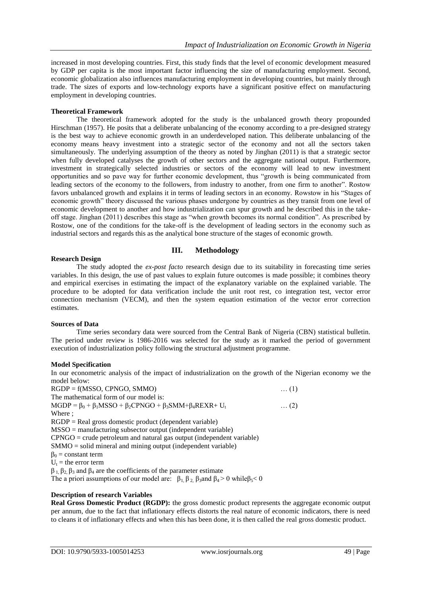increased in most developing countries. First, this study finds that the level of economic development measured by GDP per capita is the most important factor influencing the size of manufacturing employment. Second, economic globalization also influences manufacturing employment in developing countries, but mainly through trade. The sizes of exports and low-technology exports have a significant positive effect on manufacturing employment in developing countries.

### **Theoretical Framework**

The theoretical framework adopted for the study is the unbalanced growth theory propounded Hirschman (1957). He posits that a deliberate unbalancing of the economy according to a pre-designed strategy is the best way to achieve economic growth in an underdeveloped nation. This deliberate unbalancing of the economy means heavy investment into a strategic sector of the economy and not all the sectors taken simultaneously. The underlying assumption of the theory as noted by Jinghan (2011) is that a strategic sector when fully developed catalyses the growth of other sectors and the aggregate national output. Furthermore, investment in strategically selected industries or sectors of the economy will lead to new investment opportunities and so pave way for further economic development, thus "growth is being communicated from leading sectors of the economy to the followers, from industry to another, from one firm to another". Rostow favors unbalanced growth and explains it in terms of leading sectors in an economy. Rowstow in his "Stages of economic growth" theory discussed the various phases undergone by countries as they transit from one level of economic development to another and how industrialization can spur growth and he described this in the takeoff stage. Jinghan (2011) describes this stage as "when growth becomes its normal condition". As prescribed by Rostow, one of the conditions for the take-off is the development of leading sectors in the economy such as industrial sectors and regards this as the analytical bone structure of the stages of economic growth.

### **III. Methodology**

### **Research Design**

The study adopted the *ex-post facto* research design due to its suitability in forecasting time series variables. In this design, the use of past values to explain future outcomes is made possible; it combines theory and empirical exercises in estimating the impact of the explanatory variable on the explained variable. The procedure to be adopted for data verification include the unit root rest, co integration test, vector error connection mechanism (VECM), and then the system equation estimation of the vector error correction estimates.

### **Sources of Data**

Time series secondary data were sourced from the Central Bank of Nigeria (CBN) statistical bulletin. The period under review is 1986-2016 was selected for the study as it marked the period of government execution of industrialization policy following the structural adjustment programme.

### **Model Specification**

In our econometric analysis of the impact of industrialization on the growth of the Nigerian economy we the model below:

RGDP = f(MSSO, CPNGO, SMMO) … (1) The mathematical form of our model is:  $MGDP = \beta_0 + \beta_1 MSSO + \beta_2 CPNGO + \beta_3 SMM + \beta_4 REXR + U_t$  … (2) Where ; RGDP = Real gross domestic product (dependent variable) MSSO = manufacturing subsector output (independent variable)  $CPNGO =$  crude petroleum and natural gas output (independent variable) SMMO = solid mineral and mining output (independent variable)  $\beta_0$  = constant term  $U_t$  = the error term  $β_1$ ,  $β_2$ ,  $β_3$  and  $β_4$  are the coefficients of the parameter estimate The a priori assumptions of our model are:  $\beta_1$ ,  $\beta_2$ ,  $\beta_3$  and  $\beta_4 > 0$  while  $\beta_5 < 0$ 

### **Description of research Variables**

**Real Gross Domestic Product (RGDP):** the gross domestic product represents the aggregate economic output per annum, due to the fact that inflationary effects distorts the real nature of economic indicators, there is need to cleans it of inflationary effects and when this has been done, it is then called the real gross domestic product.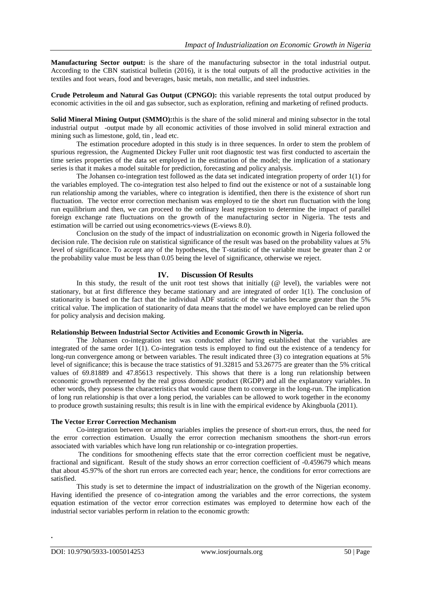**Manufacturing Sector output:** is the share of the manufacturing subsector in the total industrial output. According to the CBN statistical bulletin (2016), it is the total outputs of all the productive activities in the textiles and foot wears, food and beverages, basic metals, non metallic, and steel industries.

**Crude Petroleum and Natural Gas Output (CPNGO):** this variable represents the total output produced by economic activities in the oil and gas subsector, such as exploration, refining and marketing of refined products.

**Solid Mineral Mining Output (SMMO):** this is the share of the solid mineral and mining subsector in the total industrial output -output made by all economic activities of those involved in solid mineral extraction and mining such as limestone, gold, tin , lead etc.

The estimation procedure adopted in this study is in three sequences. In order to stem the problem of spurious regression, the Augmented Dickey Fuller unit root diagnostic test was first conducted to ascertain the time series properties of the data set employed in the estimation of the model; the implication of a stationary series is that it makes a model suitable for prediction, forecasting and policy analysis.

The Johansen co-integration test followed as the data set indicated integration property of order 1(1) for the variables employed. The co-integration test also helped to find out the existence or not of a sustainable long run relationship among the variables, where co integration is identified, then there is the existence of short run fluctuation. The vector error correction mechanism was employed to tie the short run fluctuation with the long run equilibrium and then, we can proceed to the ordinary least regression to determine the impact of parallel foreign exchange rate fluctuations on the growth of the manufacturing sector in Nigeria. The tests and estimation will be carried out using econometrics-views (E-views 8.0).

Conclusion on the study of the impact of industrialization on economic growth in Nigeria followed the decision rule. The decision rule on statistical significance of the result was based on the probability values at 5% level of significance. To accept any of the hypotheses, the T-statistic of the variable must be greater than 2 or the probability value must be less than 0.05 being the level of significance, otherwise we reject.

### **IV. Discussion Of Results**

In this study, the result of the unit root test shows that initially (@ level), the variables were not stationary, but at first difference they became stationary and are integrated of order 1(1). The conclusion of stationarity is based on the fact that the individual ADF statistic of the variables became greater than the 5% critical value. The implication of stationarity of data means that the model we have employed can be relied upon for policy analysis and decision making.

#### **Relationship Between Industrial Sector Activities and Economic Growth in Nigeria.**

The Johansen co-integration test was conducted after having established that the variables are integrated of the same order 1(1). Co-integration tests is employed to find out the existence of a tendency for long-run convergence among or between variables. The result indicated three (3) co integration equations at 5% level of significance; this is because the trace statistics of 91.32815 and 53.26775 are greater than the 5% critical values of 69.81889 and 47.85613 respectively. This shows that there is a long run relationship between economic growth represented by the real gross domestic product (RGDP) and all the explanatory variables. In other words, they possess the characteristics that would cause them to converge in the long-run. The implication of long run relationship is that over a long period, the variables can be allowed to work together in the economy to produce growth sustaining results; this result is in line with the empirical evidence by Akingbuola (2011).

### **The Vector Error Correction Mechanism**

Co-integration between or among variables implies the presence of short-run errors, thus, the need for the error correction estimation. Usually the error correction mechanism smoothens the short-run errors associated with variables which have long run relationship or co-integration properties.

The conditions for smoothening effects state that the error correction coefficient must be negative, fractional and significant. Result of the study shows an error correction coefficient of -0.459679 which means that about 45.97% of the short run errors are corrected each year; hence, the conditions for error corrections are satisfied.

This study is set to determine the impact of industrialization on the growth of the Nigerian economy. Having identified the presence of co-integration among the variables and the error corrections, the system equation estimation of the vector error correction estimates was employed to determine how each of the industrial sector variables perform in relation to the economic growth:

**.**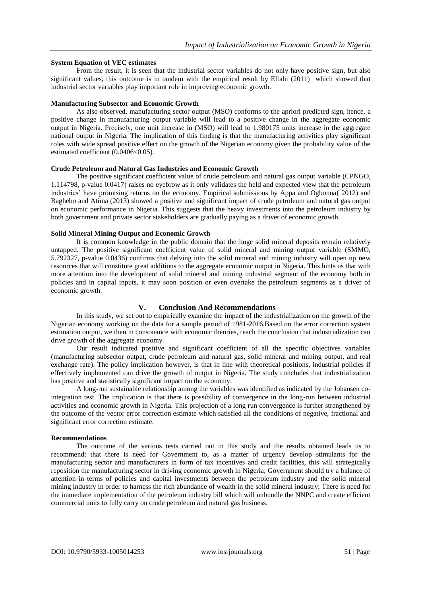### **System Equation of VEC estimates**

From the result, it is seen that the industrial sector variables do not only have positive sign, but also significant values, this outcome is in tandem with the empirical result by Ellahi (2011) which showed that industrial sector variables play important role in improving economic growth.

#### **Manufacturing Subsector and Economic Growth**

As also observed, manufacturing sector output (MSO) conforms to the apriori predicted sign, hence, a positive change in manufacturing output variable will lead to a positive change in the aggregate economic output in Nigeria. Precisely, one unit increase in (MSO) will lead to 1.980175 units increase in the aggregate national output in Nigeria. The implication of this finding is that the manufacturing activities play significant roles with wide spread positive effect on the growth of the Nigerian economy given the probability value of the estimated coefficient  $(0.0406<0.05)$ .

#### **Crude Petroleum and Natural Gas Industries and Economic Growth**

The positive significant coefficient value of crude petroleum and natural gas output variable (CPNGO, 1.114798, p-value 0.0417) raises no eyebrow as it only validates the held and expected view that the petroleum industries" have promising returns on the economy. Empirical submissions by Appa and Ogbonna( 2012) and Baghebo and Atima (2013) showed a positive and significant impact of crude petroleum and natural gas output on economic performance in Nigeria. This suggests that the heavy investments into the petroleum industry by both government and private sector stakeholders are gradually paying as a driver of economic growth.

### **Solid Mineral Mining Output and Economic Growth**

It is common knowledge in the public domain that the huge solid mineral deposits remain relatively untapped. The positive significant coefficient value of solid mineral and mining output variable (SMMO, 5.792327, p-value 0.0436) confirms that delving into the solid mineral and mining industry will open up new resources that will constitute great additions to the aggregate economic output in Nigeria. This hints us that with more attention into the development of solid mineral and mining industrial segment of the economy both in policies and in capital inputs, it may soon position or even overtake the petroleum segments as a driver of economic growth.

### **V. Conclusion And Recommendations**

In this study, we set out to empirically examine the impact of the industrialization on the growth of the Nigerian economy working on the data for a sample period of 1981-2016.Based on the error correction system estimation output, we then in consonance with economic theories, reach the conclusion that industrialization can drive growth of the aggregate economy.

Our result indicated positive and significant coefficient of all the specific objectives variables (manufacturing subsector output, crude petroleum and natural gas, solid mineral and mining output, and real exchange rate). The policy implication however, is that in line with theoretical positions, industrial policies if effectively implemented can drive the growth of output in Nigeria. The study concludes that industrialization has positive and statistically significant impact on the economy.

A long-run sustainable relationship among the variables was identified as indicated by the Johansen cointegration test. The implication is that there is possibility of convergence in the long-run between industrial activities and economic growth in Nigeria. This projection of a long run convergence is further strengthened by the outcome of the vector error correction estimate which satisfied all the conditions of negative, fractional and significant error correction estimate.

### **Recommendations**

The outcome of the various tests carried out in this study and the results obtained leads us to recommend: that there is need for Government to, as a matter of urgency develop stimulants for the manufacturing sector and manufacturers in form of tax incentives and credit facilities, this will strategically reposition the manufacturing sector in driving economic growth in Nigeria; Government should try a balance of attention in terms of policies and capital investments between the petroleum industry and the solid mineral mining industry in order to harness the rich abundance of wealth in the solid mineral industry; There is need for the immediate implementation of the petroleum industry bill which will unbundle the NNPC and create efficient commercial units to fully carry on crude petroleum and natural gas business.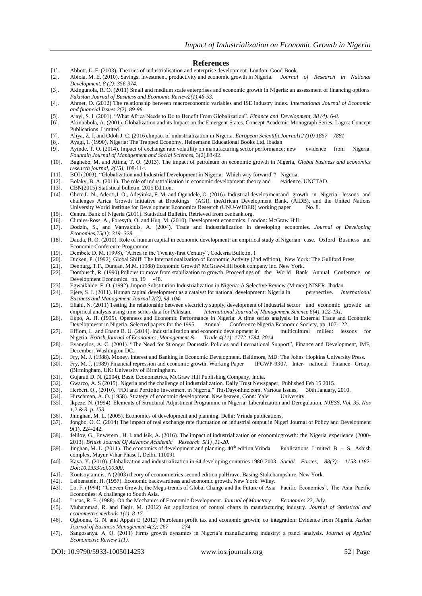#### **References**

- [1]. Abbott, L. F. (2003). Theories of industrialisation and enterprise development. London: Good Book.
- [2]. Abiola, M. E. (2010). Savings, investment, productivity and economic growth in Nigeria. *Journal of Research in National Development, 8 (2): 356-374.*
- [3]. Akingunola, R. O. (2011) Small and medium scale enterprises and economic growth in Nigeria: an assessment of financing options. *Pakistan Journal of Business and Economic Review2(1),46-53.*
- [4]. Ahmet, O. (2012) The relationship between macroeconomic variables and ISE industry index. *International Journal of Economic and financial Issues 2(2), 89-96.*
- [5]. Ajayi, S. I. (2001). "What Africa Needs to Do to Benefit From Globalization". *Finance and Development, 38 (4): 6-8.*
- [6]. Akinbobola, A. (2001). Globalization and its Impact on the Emergent States, Concept Academic Monograph Series, Lagos: Concept Publications Limited.
- [7]. Aliya, Z. I. and Odoh J. C. (2016).Impact of industrialization in Nigeria. *European ScientificJournal12 (10) 1857 – 7881*
- [8]. Ayagi, I. (1990). Nigeria: The Trapped Economy, Heinemann Educational Books Ltd. Ibadan
- [9]. Ayinde, T. O. (2014). Impact of exchange rate volatility on manufacturing sector performance; new evidence from Nigeria. *Fountain Journal of Management and Social Sciences*, 3(2),83-92.
- [10]. Baghebo, M. and Atima, T. O. (2013). The impact of petroleum on economic growth in Nigeria, *Global business and economics research journal, 2(15)*, 108-114.
- [11]. BOI (2003). "Globalization and Industrial Development in Nigeria: Which way forward"? Nigeria.<br>[12]. Bolaky, B. A. (2011). The role of industrialisation in economic development: theory and evidence. UNCTAD.
- Bolaky, B. A. (2011). The role of industrialisation in economic development: theory and
- [13]. CBN(2015) Statistical bulletin, 2015 Edition.
- [14]. Chete,L. N., Adeoti,J. O., Adeyinka, F. M. and Ogundele, O. (2016). Industrial developmentand growth in Nigeria: lessons and challenges Africa Growth Initiative at Brookings (AGI), theAfrican Development Bank, (AfDB), and the United Nations University World Institute for Development Economics Research (UNU-WIDER) working paper No. 8.
- [15]. Central Bank of Nigeria (2011). Statistical Bulletin. Retrieved from cenbank.org.<br>[16]. Clunies-Ross, A., Foresyth, O. and Huq, M. (2010). Development economics. Lo
- [16]. Clunies-Ross, A., Foresyth, O. and Huq, M. (2010). Development economics. London: McGraw Hill.
- [17]. Dodzin, S., and Vanvakidis, A. (2004). Trade and industrialization in developing economies. *Journal of Developing Economies,75(1): 319- 328.*
- [18]. Dauda, R. O. (2010). Role of human capital in economic development: an empirical study ofNigerian case. Oxford Business and Economic Conference Programme*.*
- [19]. Dembele D. M. (1998), "Africa in the Twenty-first Century", Codesria Bulletin, 1
- [20]. Dicken, P. (1992), Global Shiff: The Internationalization of Economic Activity (2nd edition), New York: The Gullford Press.
- [21]. Denburg, T.F., Duncan. M.M. (1988) Economic Growth? McGraw-Hill book company inc. New York.<br>[22]. Dombusch, R. (1990) Policies to move from stabilization to growth. Proceedings of the World Ban
- [22]. Dombusch, R. (1990) Policies to move from stabilization to growth. Proceedings of the World Bank Annual Conference on Development Economics. pp. 19 -48.
- [23]. Egwaikhide, F. O. (1992). Import Substitution Industrialization in Nigeria: A Selective Review (Mimeo) NISER, Ibadan. [24]. Ejere, S. I. (2011). Human capital development as a catalyst for national development: Niger
- [24]. Ejere, S. I. (2011). Human capital development as a catalyst for national development: Nigeria in perspective. *International Business and Management Journal 2(2), 98-104.*
- [25]. Ellahi, N. (2011) Testing the relationship between electricity supply, development of industrial sector and economic growth: an empirical analysis using time series data for Pakistan. *International Journal of Management Science 6(4), 122-131.*
- [26]. Ekpo, A. H. (1995). Openness and Economic Performance in Nigeria: A time series analysis. In External Trade and Economic Developmesnt in Nigeria. Selected papers for the 1995 Annual Conference Nigeria Economic Society, pp. 107-122.
- [27]. Effiom, L. and Enang B. U. (2014). Industrialization and economic development in multicultural milieu: lessons Nigeria. *British Journal of Economics, Management & Trade 4(11): 1772-1784, 2014*
- [28]. Evangelos, A. C. (2001). "The Need for Stronger Domestic Policies and International Support", Finance and Development, IMF, December, Washington DC.
- [29]. Fry, M. J. (1988). Money, Interest and Banking in Economic Development. Baltimore, MD: The Johns Hopkins University Press.
- [30]. Fry, M. J. (1989) Financial repression and economic growth. Working Paper IFGWP-9307, Inter- national Finance Group, (Birmingham, UK: University of Birmingham.
- [31]. Gujarati D. N. (2004). Basic Econometrics, McGraw Hill Publishing Company, India.
- [32]. Gwarzo, A. S (2015). Nigeria and the challenge of industrialization. Daily Trust Newspaper, Published Feb 15 2015.
- [33]. Herbert, O., (2010). "FDI and Portfolio Investment in Nigeria," ThisDayonline.com, Various Issues, 30th January, 2010. [34]. Hirschman, A. O. (1958). Strategy of economic development. New heaven, Conn: Yale Universit
- Hirschman, A. O. (1958). Strategy of economic development. New heaven, Conn: Yale University.
- [35]. Ikpeze, N. (1994). Elements of Structural Adjustment Programme in Nigeria: Liberalization and Deregulation, *NJESS, Vol. 35. Nos 1,2 & 3, p. 153*
- [36]. Jhinghan, M. L. (2005). Economics of development and planning. Delhi: Vrinda publications.
- [37]. Jongbo, O. C. (2014) The impact of real exchange rate fluctuation on industrial output in Nigeri Journal of Policy and Development 9(1). 224-242.
- [38]. Jelilov, G., Enwerem , H. I. and Isik, A. (2016). The impact of industrialization on economicgrowth: the Nigeria experience (2000- 2013). *British Journal Of Advance Academic Research 5(1) ,11-20.*
- [39]. Jinghan, M. L. (2011). The economics of development and planning.  $40<sup>th</sup>$  edition Vrinda Publications Limited B S, Ashish complex, Mayur Vihar Phase I, Delhii 110091
- [40]. Kaya, Y. (2010). Globalization and industrialization in 64 developing countries 1980-2003. *Social Forces, 88(3): 1153-1182. Doi:10.1353/sof.00300.*
- [41]. Koutsoyiamnis, A (2003) theory of economietrics second edition palHrave, Basing Stokehampshire, New York.
- [42]. Leibenstein, H. (1957). Economic backwardness and economic growth. New York: Wiley.
- [43]. Lo, F. (1994). "Uneven Growth, the Mega-trends of Global Change and the Future of Asia Pacific Economics", The Asia Pacific Economies: A challenge to South Asia.
- [44]. Lucas, R. E. (1988). On the Mechanics of Economic Development. *Journal of Monetary Economics 22, July.*
- [45]. Muhammad, R. and Faqir, M. (2012) An application of control charts in manufacturing industry. *Journal of Statistical and econometric methods 1(1), 8-17.*
- [46]. Ogbonna, G. N. and Appah E (2012) Petroleum profit tax and economic growth; co integration: Evidence from Nigeria. *Assian Journal of Business Management 4(3); 267* - *274*
- [47]. Sangosanya, A. O. (2011) Firms growth dynamics in Nigeria"s manufacturing industry: a panel analysis. *Journal of Applied Econometric Review 1(1).*